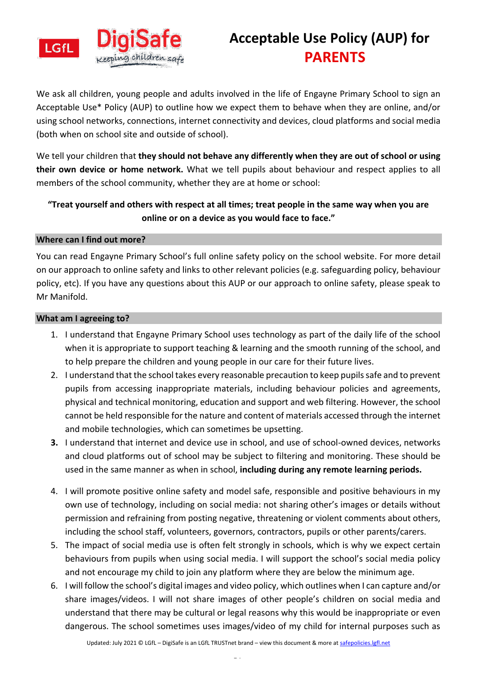

## **Acceptable Use Policy (AUP) for PARENTS**

We ask all children, young people and adults involved in the life of Engayne Primary School to sign an Acceptable Use\* Policy (AUP) to outline how we expect them to behave when they are online, and/or using school networks, connections, internet connectivity and devices, cloud platforms and social media (both when on school site and outside of school).

We tell your children that **they should not behave any differently when they are out of school or using their own device or home network.** What we tell pupils about behaviour and respect applies to all members of the school community, whether they are at home or school:

### **"Treat yourself and others with respect at all times; treat people in the same way when you are online or on a device as you would face to face."**

#### **Where can I find out more?**

You can read Engayne Primary School's full online safety policy on the school website. For more detail on our approach to online safety and links to other relevant policies (e.g. safeguarding policy, behaviour policy, etc). If you have any questions about this AUP or our approach to online safety, please speak to Mr Manifold.

#### **What am I agreeing to?**

- 1. I understand that Engayne Primary School uses technology as part of the daily life of the school when it is appropriate to support teaching & learning and the smooth running of the school, and to help prepare the children and young people in our care for their future lives.
- 2. I understand that the school takes every reasonable precaution to keep pupils safe and to prevent pupils from accessing inappropriate materials, including behaviour policies and agreements, physical and technical monitoring, education and support and web filtering. However, the school cannot be held responsible for the nature and content of materials accessed through the internet and mobile technologies, which can sometimes be upsetting.
- **3.** I understand that internet and device use in school, and use of school-owned devices, networks and cloud platforms out of school may be subject to filtering and monitoring. These should be used in the same manner as when in school, **including during any remote learning periods.**
- 4. I will promote positive online safety and model safe, responsible and positive behaviours in my own use of technology, including on social media: not sharing other's images or details without permission and refraining from posting negative, threatening or violent comments about others, including the school staff, volunteers, governors, contractors, pupils or other parents/carers.
- 5. The impact of social media use is often felt strongly in schools, which is why we expect certain behaviours from pupils when using social media. I will support the school's social media policy and not encourage my child to join any platform where they are below the minimum age.
- 6. I will follow the school's digital images and video policy, which outlines when I can capture and/or share images/videos. I will not share images of other people's children on social media and understand that there may be cultural or legal reasons why this would be inappropriate or even dangerous. The school sometimes uses images/video of my child for internal purposes such as